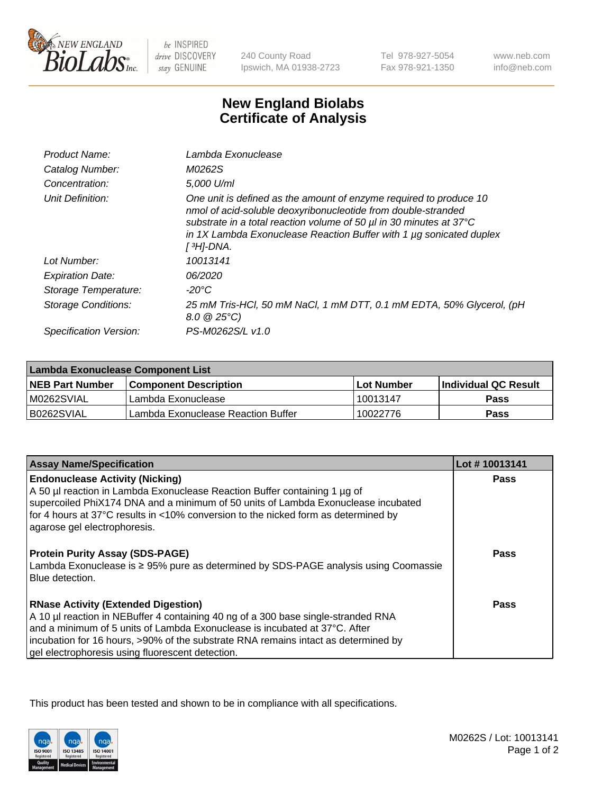

 $be$  INSPIRED drive DISCOVERY stay GENUINE

240 County Road Ipswich, MA 01938-2723

Tel 978-927-5054 Fax 978-921-1350 www.neb.com info@neb.com

## **New England Biolabs Certificate of Analysis**

| Product Name:           | Lambda Exonuclease                                                                                                                                                                                                                                                                                   |
|-------------------------|------------------------------------------------------------------------------------------------------------------------------------------------------------------------------------------------------------------------------------------------------------------------------------------------------|
| Catalog Number:         | M0262S                                                                                                                                                                                                                                                                                               |
| Concentration:          | 5.000 U/ml                                                                                                                                                                                                                                                                                           |
| Unit Definition:        | One unit is defined as the amount of enzyme required to produce 10<br>nmol of acid-soluble deoxyribonucleotide from double-stranded<br>substrate in a total reaction volume of 50 µl in 30 minutes at 37°C<br>in 1X Lambda Exonuclease Reaction Buffer with 1 $\mu$ g sonicated duplex<br>[ 3H]-DNA. |
| Lot Number:             | 10013141                                                                                                                                                                                                                                                                                             |
| <b>Expiration Date:</b> | 06/2020                                                                                                                                                                                                                                                                                              |
| Storage Temperature:    | $-20^{\circ}$ C                                                                                                                                                                                                                                                                                      |
| Storage Conditions:     | 25 mM Tris-HCl, 50 mM NaCl, 1 mM DTT, 0.1 mM EDTA, 50% Glycerol, (pH<br>$8.0 \ @ 25^{\circ}C$                                                                                                                                                                                                        |
| Specification Version:  | PS-M0262S/L v1.0                                                                                                                                                                                                                                                                                     |

| Lambda Exonuclease Component List |                                    |              |                             |  |
|-----------------------------------|------------------------------------|--------------|-----------------------------|--|
| <b>NEB Part Number</b>            | l Component Description            | l Lot Number | <b>Individual QC Result</b> |  |
| IM0262SVIAL                       | Lambda Exonuclease                 | 10013147     | <b>Pass</b>                 |  |
| IB0262SVIAL                       | Lambda Exonuclease Reaction Buffer | 10022776     | Pass                        |  |

| <b>Assay Name/Specification</b>                                                     | Lot #10013141 |
|-------------------------------------------------------------------------------------|---------------|
| <b>Endonuclease Activity (Nicking)</b>                                              | <b>Pass</b>   |
| A 50 µl reaction in Lambda Exonuclease Reaction Buffer containing 1 µg of           |               |
| supercoiled PhiX174 DNA and a minimum of 50 units of Lambda Exonuclease incubated   |               |
| for 4 hours at 37°C results in <10% conversion to the nicked form as determined by  |               |
| agarose gel electrophoresis.                                                        |               |
| <b>Protein Purity Assay (SDS-PAGE)</b>                                              | <b>Pass</b>   |
| Lambda Exonuclease is ≥ 95% pure as determined by SDS-PAGE analysis using Coomassie |               |
| Blue detection.                                                                     |               |
|                                                                                     |               |
| <b>RNase Activity (Extended Digestion)</b>                                          | Pass          |
| A 10 µl reaction in NEBuffer 4 containing 40 ng of a 300 base single-stranded RNA   |               |
| and a minimum of 5 units of Lambda Exonuclease is incubated at 37°C. After          |               |
| incubation for 16 hours, >90% of the substrate RNA remains intact as determined by  |               |
| gel electrophoresis using fluorescent detection.                                    |               |

This product has been tested and shown to be in compliance with all specifications.